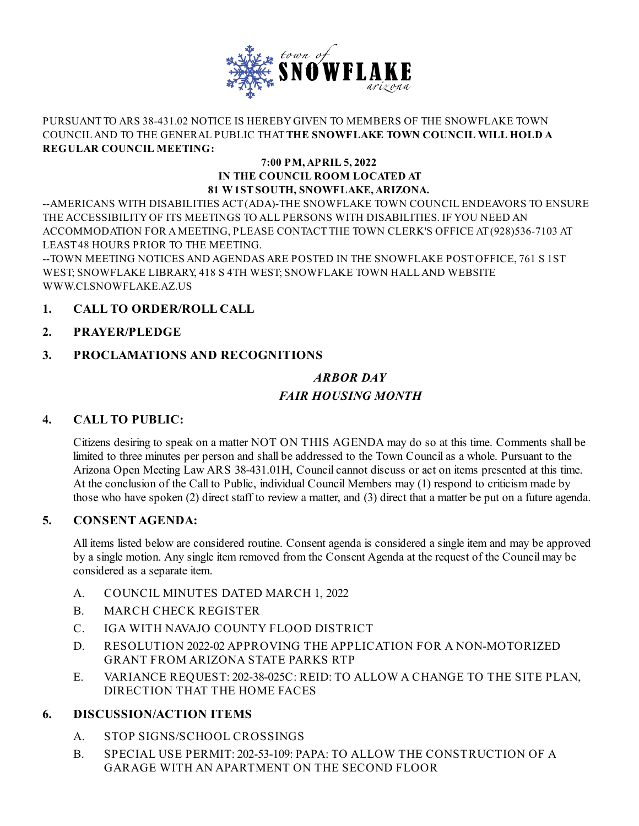

#### PURSUANT TO ARS 38-431.02 NOTICE IS HEREBYGIVEN TO MEMBERS OF THE SNOWFLAKE TOWN COUNCILAND TO THE GENERAL PUBLIC THAT**THE SNOWFLAKE TOWN COUNCIL WILL HOLD A REGULAR COUNCIL MEETING:**

#### **7:00 PM,APRIL 5, 2022 IN THE COUNCIL ROOM LOCATED AT 81 W1STSOUTH, SNOWFLAKE,ARIZONA.**

--AMERICANS WITH DISABILITIES ACT(ADA)-THE SNOWFLAKE TOWN COUNCIL ENDEAVORS TO ENSURE THE ACCESSIBILITYOF ITS MEETINGS TO ALL PERSONS WITH DISABILITIES. IF YOU NEED AN ACCOMMODATION FOR AMEETING, PLEASE CONTACT THE TOWN CLERK'S OFFICE AT(928)536-7103 AT LEAST48 HOURS PRIOR TO THE MEETING.

--TOWN MEETING NOTICES AND AGENDAS ARE POSTED IN THE SNOWFLAKE POSTOFFICE, 761 S 1ST WEST; SNOWFLAKE LIBRARY, 418 S 4TH WEST; SNOWFLAKE TOWN HALLAND WEBSITE [WWW.CI.SNOWFLAKE.AZ.US](http://www.ci.snowflake.az.us)

# **1. CALL TO ORDER/ROLL CALL**

## **2. PRAYER/PLEDGE**

# **3. PROCLAMATIONS AND RECOGNITIONS**

# *[ARBOR](file:///C:/Windows/TEMP/CoverSheet.aspx?ItemID=628&MeetingID=64) DAY FAIR [HOUSING](file:///C:/Windows/TEMP/CoverSheet.aspx?ItemID=629&MeetingID=64) MONTH*

## **4. CALL TO PUBLIC:**

Citizens desiring to speak on a matter NOT ON THIS AGENDA may do so at this time. Comments shall be limited to three minutes per person and shall be addressed to the Town Councilas a whole. Pursuant to the Arizona Open Meeting Law ARS 38-431.01H, Council cannot discuss or act on items presented at this time. At the conclusion of the Call to Public, individual Council Members may (1) respond to criticism made by those who have spoken (2) direct staff to review a matter, and (3) direct that a matter be put on a future agenda.

#### **5. CONSENT AGENDA:**

All items listed below are considered routine. Consent agenda is considered a single item and may be approved by a single motion. Any single item removed from the Consent Agenda at the request of the Council may be considered as a separate item.

- A. [COUNCIL](file:///C:/Windows/TEMP/CoverSheet.aspx?ItemID=636&MeetingID=64) MINUTES DATED MARCH 1, 2022
- B. MARCH CHECK [REGISTER](file:///C:/Windows/TEMP/CoverSheet.aspx?ItemID=635&MeetingID=64)
- C. IGA WITH NAVAJO COUNTY FLOOD [DISTRICT](file:///C:/Windows/TEMP/CoverSheet.aspx?ItemID=634&MeetingID=64)
- D. RESOLUTION 2022-02 APPROVING THE APPLICATION FOR A [NON-MOTORIZED](file:///C:/Windows/TEMP/CoverSheet.aspx?ItemID=633&MeetingID=64) GRANT FROM ARIZONA STATE PARKS RTP
- E. VARIANCE REQUEST: 202-38-025C: REID: TO ALLOW A CHANGE TO THE SITE PLAN, [DIRECTION](file:///C:/Windows/TEMP/CoverSheet.aspx?ItemID=631&MeetingID=64) THAT THE HOME FACES

## **6. DISCUSSION/ACTION ITEMS**

- A. STOP [SIGNS/SCHOOL](file:///C:/Windows/TEMP/CoverSheet.aspx?ItemID=627&MeetingID=64) CROSSINGS
- B. SPECIAL USE PERMIT: 202-53-109: PAPA: TO ALLOW THE [CONSTRUCTION](file:///C:/Windows/TEMP/CoverSheet.aspx?ItemID=632&MeetingID=64) OF A GARAGE WITH AN APARTMENT ON THE SECOND FLOOR